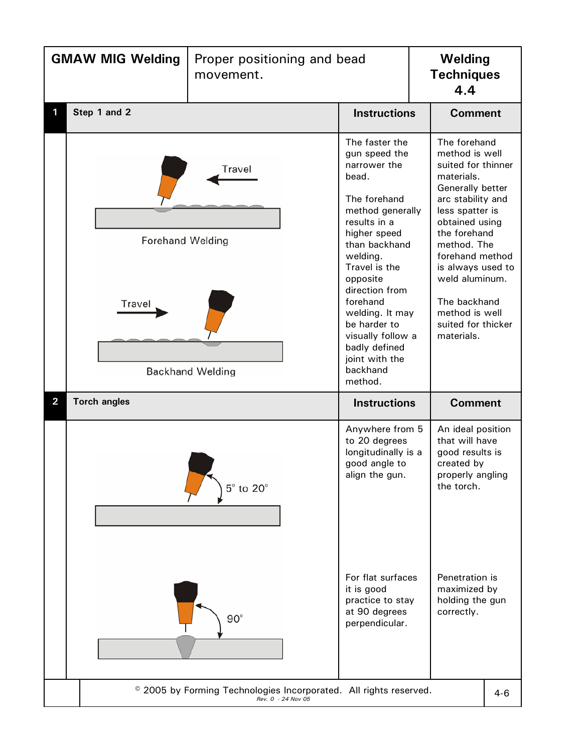| <b>GMAW MIG Welding</b> |                                                                                         | Proper positioning and bead<br>movement. |                                                                                                                                                                                                                                                                                                                                        | Welding<br><b>Techniques</b><br>4.4 |                                                                                                                                                                                                                                                                                                                 |  |  |
|-------------------------|-----------------------------------------------------------------------------------------|------------------------------------------|----------------------------------------------------------------------------------------------------------------------------------------------------------------------------------------------------------------------------------------------------------------------------------------------------------------------------------------|-------------------------------------|-----------------------------------------------------------------------------------------------------------------------------------------------------------------------------------------------------------------------------------------------------------------------------------------------------------------|--|--|
|                         | Step 1 and 2                                                                            |                                          | <b>Instructions</b>                                                                                                                                                                                                                                                                                                                    |                                     | <b>Comment</b>                                                                                                                                                                                                                                                                                                  |  |  |
|                         | Travel<br><b>Forehand Welding</b><br>Travel<br><b>Backhand Welding</b>                  |                                          | The faster the<br>gun speed the<br>narrower the<br>bead.<br>The forehand<br>method generally<br>results in a<br>higher speed<br>than backhand<br>welding.<br>Travel is the<br>opposite<br>direction from<br>forehand<br>welding. It may<br>be harder to<br>visually follow a<br>badly defined<br>joint with the<br>backhand<br>method. |                                     | The forehand<br>method is well<br>suited for thinner<br>materials.<br>Generally better<br>arc stability and<br>less spatter is<br>obtained using<br>the forehand<br>method. The<br>forehand method<br>is always used to<br>weld aluminum.<br>The backhand<br>method is well<br>suited for thicker<br>materials. |  |  |
| $\overline{\mathbf{2}}$ | <b>Torch angles</b>                                                                     |                                          | <b>Instructions</b>                                                                                                                                                                                                                                                                                                                    |                                     | <b>Comment</b>                                                                                                                                                                                                                                                                                                  |  |  |
|                         |                                                                                         | $5^\circ$ to $20^\circ$<br>$90^\circ$    | Anywhere from 5<br>to 20 degrees<br>longitudinally is a<br>good angle to<br>align the gun.<br>For flat surfaces<br>it is good<br>practice to stay<br>at 90 degrees<br>perpendicular.                                                                                                                                                   |                                     | An ideal position<br>that will have<br>good results is<br>created by<br>properly angling<br>the torch.<br>Penetration is<br>maximized by<br>holding the gun<br>correctly.                                                                                                                                       |  |  |
|                         | © 2005 by Forming Technologies Incorporated. All rights reserved.<br>Rev. 0 - 24 Nov 05 |                                          |                                                                                                                                                                                                                                                                                                                                        |                                     |                                                                                                                                                                                                                                                                                                                 |  |  |